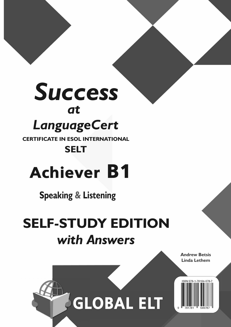## *Success at LanguageCert*

**CERTIFICATE IN ESOL INTERNATIONAL**

### **SELT**

# Achiever B1

**Speaking & Listening**

## **SELF-STUDY EDITION** *with Answers*

**Andrew Betsis Linda Lethem**